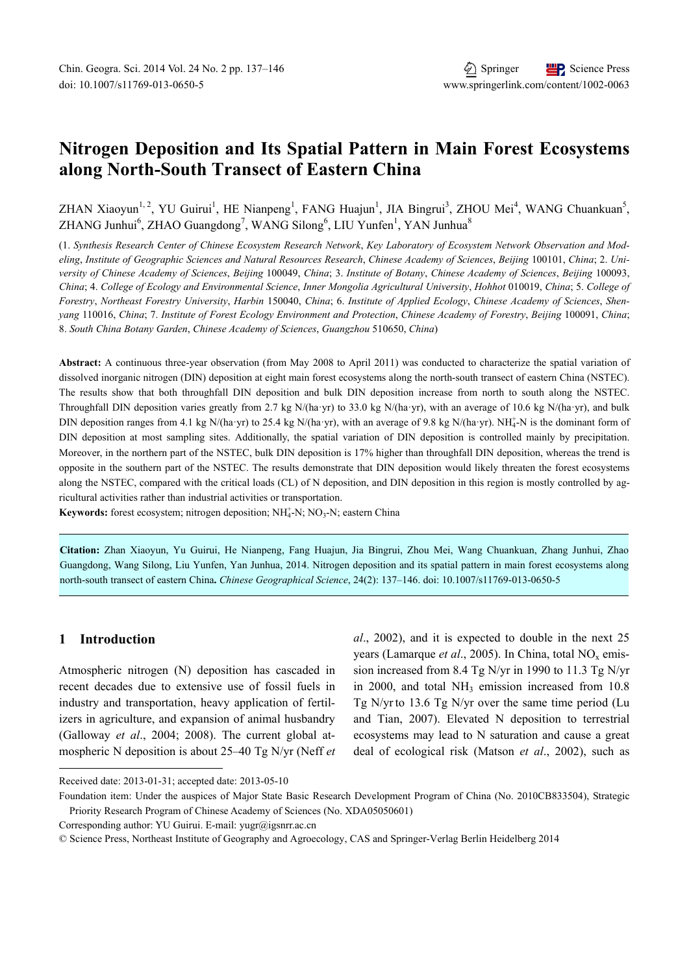# **Nitrogen Deposition and Its Spatial Pattern in Main Forest Ecosystems along North-South Transect of Eastern China**

ZHAN Xiaoyun<sup>1, 2</sup>, YU Guirui<sup>1</sup>, HE Nianpeng<sup>1</sup>, FANG Huajun<sup>1</sup>, JIA Bingrui<sup>3</sup>, ZHOU Mei<sup>4</sup>, WANG Chuankuan<sup>5</sup>, ZHANG Junhui<sup>6</sup>, ZHAO Guangdong<sup>7</sup>, WANG Silong<sup>6</sup>, LIU Yunfen<sup>1</sup>, YAN Junhua<sup>8</sup>

(1. *Synthesis Research Center of Chinese Ecosystem Research Network*, *Key Laboratory of Ecosystem Network Observation and Modeling*, *Institute of Geographic Sciences and Natural Resources Research*, *Chinese Academy of Sciences*, *Beijing* 100101, *China*; 2. *University of Chinese Academy of Sciences*, *Beijing* 100049, *China*; 3. *Institute of Botany*, *Chinese Academy of Sciences*, *Beijing* 100093, *China*; 4. *College of Ecology and Environmental Science*, *Inner Mongolia Agricultural University*, *Hohhot* 010019, *China*; 5. *College of Forestry*, *Northeast Forestry University*, *Harbin* 150040, *China*; 6. *Institute of Applied Ecology*, *Chinese Academy of Sciences*, *Shenyang* 110016, *China*; 7. *Institute of Forest Ecology Environment and Protection*, *Chinese Academy of Forestry*, *Beijing* 100091, *China*; 8. *South China Botany Garden*, *Chinese Academy of Sciences*, *Guangzhou* 510650, *China*)

**Abstract:** A continuous three-year observation (from May 2008 to April 2011) was conducted to characterize the spatial variation of dissolved inorganic nitrogen (DIN) deposition at eight main forest ecosystems along the north-south transect of eastern China (NSTEC). The results show that both throughfall DIN deposition and bulk DIN deposition increase from north to south along the NSTEC. Throughfall DIN deposition varies greatly from 2.7 kg N/(ha·yr) to 33.0 kg N/(ha·yr), with an average of 10.6 kg N/(ha·yr), and bulk DIN deposition ranges from 4.1 kg N/(ha·yr) to 25.4 kg N/(ha·yr), with an average of 9.8 kg N/(ha·yr). NH<sub>4</sub>-N is the dominant form of DIN deposition at most sampling sites. Additionally, the spatial variation of DIN deposition is controlled mainly by precipitation. Moreover, in the northern part of the NSTEC, bulk DIN deposition is 17% higher than throughfall DIN deposition, whereas the trend is opposite in the southern part of the NSTEC. The results demonstrate that DIN deposition would likely threaten the forest ecosystems along the NSTEC, compared with the critical loads (CL) of N deposition, and DIN deposition in this region is mostly controlled by agricultural activities rather than industrial activities or transportation.

Keywords: forest ecosystem; nitrogen deposition; NH<sub>4</sub>-N; NO<sub>3</sub>-N; eastern China

**Citation:** Zhan Xiaoyun, Yu Guirui, He Nianpeng, Fang Huajun, Jia Bingrui, Zhou Mei, Wang Chuankuan, Zhang Junhui, Zhao Guangdong, Wang Silong, Liu Yunfen, Yan Junhua, 2014. Nitrogen deposition and its spatial pattern in main forest ecosystems along north-south transect of eastern China**.** *Chinese Geographical Science*, 24(2): 137–146. doi: 10.1007/s11769-013-0650-5

# **1 Introduction**

l

Atmospheric nitrogen (N) deposition has cascaded in recent decades due to extensive use of fossil fuels in industry and transportation, heavy application of fertilizers in agriculture, and expansion of animal husbandry (Galloway *et al*., 2004; 2008). The current global atmospheric N deposition is about 25–40 Tg N/yr (Neff *et* 

*al*., 2002), and it is expected to double in the next 25 years (Lamarque *et al.*, 2005). In China, total NO<sub>x</sub> emission increased from 8.4 Tg N/yr in 1990 to 11.3 Tg N/yr in 2000, and total  $NH<sub>3</sub>$  emission increased from 10.8 Tg N/yrto 13.6 Tg N/yr over the same time period (Lu and Tian, 2007). Elevated N deposition to terrestrial ecosystems may lead to N saturation and cause a great deal of ecological risk (Matson *et al*., 2002), such as

Received date: 2013-01-31; accepted date: 2013-05-10

Foundation item: Under the auspices of Major State Basic Research Development Program of China (No. 2010CB833504), Strategic Priority Research Program of Chinese Academy of Sciences (No. XDA05050601)

Corresponding author: YU Guirui. E-mail: yugr@igsnrr.ac.cn

<sup>©</sup> Science Press, Northeast Institute of Geography and Agroecology, CAS and Springer-Verlag Berlin Heidelberg 2014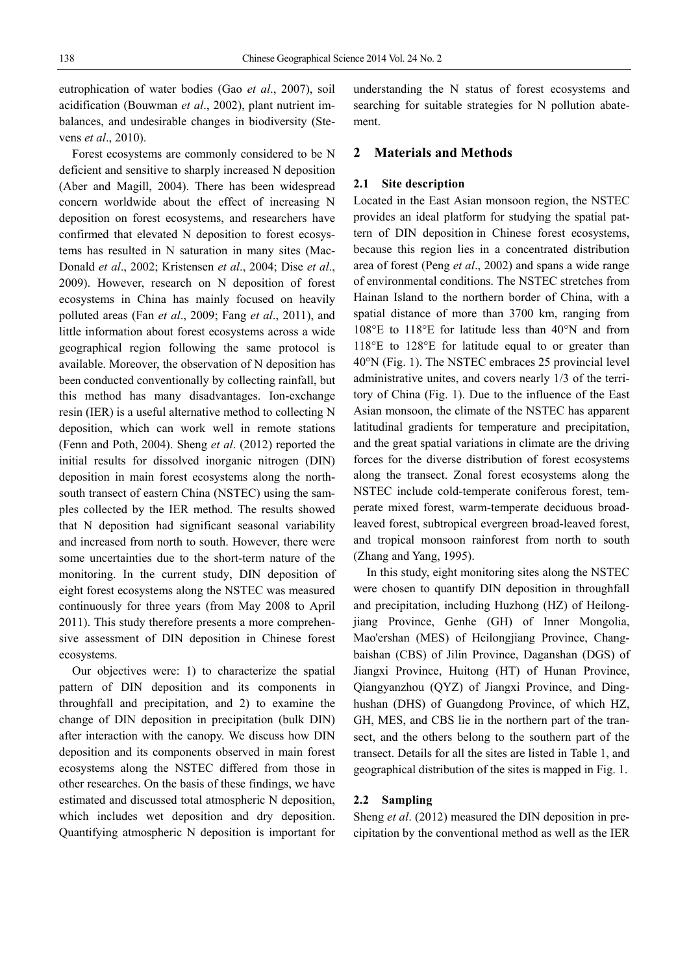eutrophication of water bodies (Gao *et al*., 2007), soil acidification (Bouwman *et al*., 2002), plant nutrient imbalances, and undesirable changes in biodiversity (Stevens *et al*., 2010).

Forest ecosystems are commonly considered to be N deficient and sensitive to sharply increased N deposition (Aber and Magill, 2004). There has been widespread concern worldwide about the effect of increasing N deposition on forest ecosystems, and researchers have confirmed that elevated N deposition to forest ecosystems has resulted in N saturation in many sites (Mac-Donald *et al*., 2002; Kristensen *et al*., 2004; Dise *et al*., 2009). However, research on N deposition of forest ecosystems in China has mainly focused on heavily polluted areas (Fan *et al*., 2009; Fang *et al*., 2011), and little information about forest ecosystems across a wide geographical region following the same protocol is available. Moreover, the observation of N deposition has been conducted conventionally by collecting rainfall, but this method has many disadvantages. Ion-exchange resin (IER) is a useful alternative method to collecting N deposition, which can work well in remote stations (Fenn and Poth, 2004). Sheng *et al*. (2012) reported the initial results for dissolved inorganic nitrogen (DIN) deposition in main forest ecosystems along the northsouth transect of eastern China (NSTEC) using the samples collected by the IER method. The results showed that N deposition had significant seasonal variability and increased from north to south. However, there were some uncertainties due to the short-term nature of the monitoring. In the current study, DIN deposition of eight forest ecosystems along the NSTEC was measured continuously for three years (from May 2008 to April 2011). This study therefore presents a more comprehensive assessment of DIN deposition in Chinese forest ecosystems.

Our objectives were: 1) to characterize the spatial pattern of DIN deposition and its components in throughfall and precipitation, and 2) to examine the change of DIN deposition in precipitation (bulk DIN) after interaction with the canopy. We discuss how DIN deposition and its components observed in main forest ecosystems along the NSTEC differed from those in other researches. On the basis of these findings, we have estimated and discussed total atmospheric N deposition, which includes wet deposition and dry deposition. Quantifying atmospheric N deposition is important for understanding the N status of forest ecosystems and searching for suitable strategies for N pollution abatement.

### **2 Materials and Methods**

#### **2.1 Site description**

Located in the East Asian monsoon region, the NSTEC provides an ideal platform for studying the spatial pattern of DIN deposition in Chinese forest ecosystems, because this region lies in a concentrated distribution area of forest (Peng *et al*., 2002) and spans a wide range of environmental conditions. The NSTEC stretches from Hainan Island to the northern border of China, with a spatial distance of more than 3700 km, ranging from 108°E to 118°E for latitude less than 40°N and from 118°E to 128°E for latitude equal to or greater than 40°N (Fig. 1). The NSTEC embraces 25 provincial level administrative unites, and covers nearly 1/3 of the territory of China (Fig. 1). Due to the influence of the East Asian monsoon, the climate of the NSTEC has apparent latitudinal gradients for temperature and precipitation, and the great spatial variations in climate are the driving forces for the diverse distribution of forest ecosystems along the transect. Zonal forest ecosystems along the NSTEC include cold-temperate coniferous forest, temperate mixed forest, warm-temperate deciduous broadleaved forest, subtropical evergreen broad-leaved forest, and tropical monsoon rainforest from north to south (Zhang and Yang, 1995).

In this study, eight monitoring sites along the NSTEC were chosen to quantify DIN deposition in throughfall and precipitation, including Huzhong (HZ) of Heilongjiang Province, Genhe (GH) of Inner Mongolia, Mao'ershan (MES) of Heilongjiang Province, Changbaishan (CBS) of Jilin Province, Daganshan (DGS) of Jiangxi Province, Huitong (HT) of Hunan Province, Qiangyanzhou (QYZ) of Jiangxi Province, and Dinghushan (DHS) of Guangdong Province, of which HZ, GH, MES, and CBS lie in the northern part of the transect, and the others belong to the southern part of the transect. Details for all the sites are listed in Table 1, and geographical distribution of the sites is mapped in Fig. 1.

#### **2.2 Sampling**

Sheng *et al*. (2012) measured the DIN deposition in precipitation by the conventional method as well as the IER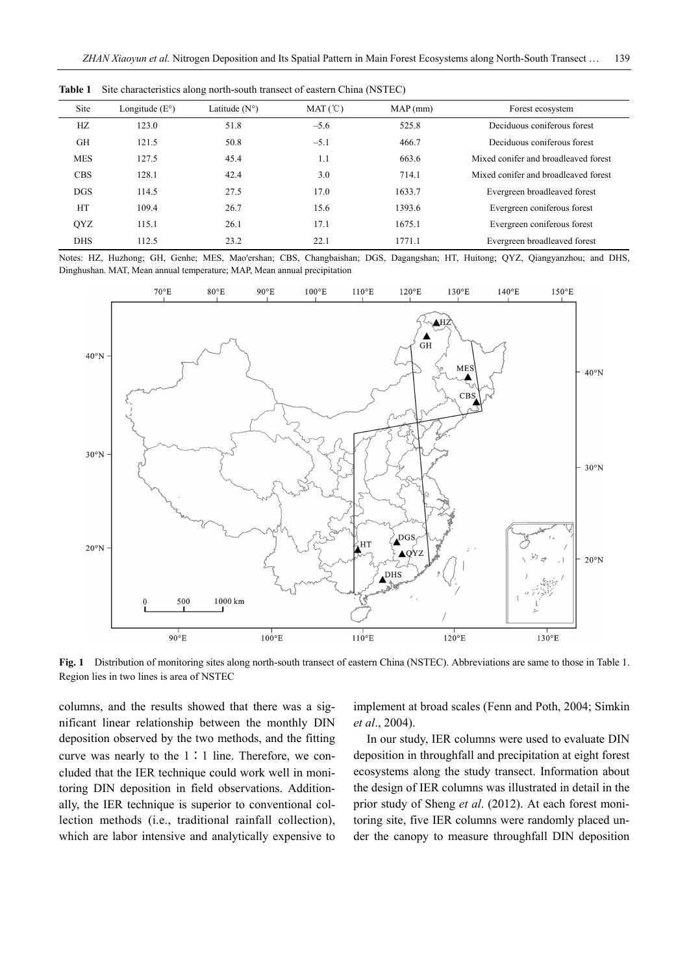| Site       | Longitude $(E^{\circ})$ | Latitude $(N^{\circ})$ | MAT (°C) | MAP(mm) | Forest ecosystem                     |  |
|------------|-------------------------|------------------------|----------|---------|--------------------------------------|--|
| HZ         | 123.0                   | 51.8                   | $-5.6$   | 525.8   | Deciduous coniferous forest          |  |
| GH         | 121.5                   | 50.8                   | $-5.1$   | 466.7   | Deciduous coniferous forest          |  |
| <b>MES</b> | 127.5                   | 45.4                   | 1.1      | 663.6   | Mixed conifer and broadleaved forest |  |
| <b>CBS</b> | 128.1                   | 42.4                   | 3.0      | 714.1   | Mixed conifer and broadleaved forest |  |
| <b>DGS</b> | 114.5                   | 27.5                   | 17.0     | 1633.7  | Evergreen broadleaved forest         |  |
| <b>HT</b>  | 109.4                   | 26.7                   | 15.6     | 1393.6  | Evergreen coniferous forest          |  |
| QYZ        | 115.1                   | 26.1                   | 17.1     | 1675.1  | Evergreen coniferous forest          |  |
| <b>DHS</b> | 112.5                   | 23.2                   | 22.1     | 1771.1  | Evergreen broadleaved forest         |  |

**Table 1** Site characteristics along north-south transect of eastern China (NSTEC)

Notes: HZ, Huzhong; GH, Genhe; MES, Mao'ershan; CBS, Changbaishan; DGS, Dagangshan; HT, Huitong; QYZ, Qiangyanzhou; and DHS, Dinghushan. MAT, Mean annual temperature; MAP, Mean annual precipitation



**Fig. 1** Distribution of monitoring sites along north-south transect of eastern China (NSTEC). Abbreviations are same to those in Table 1. Region lies in two lines is area of NSTEC

columns, and the results showed that there was a significant linear relationship between the monthly DIN deposition observed by the two methods, and the fitting curve was nearly to the 1∶1 line. Therefore, we concluded that the IER technique could work well in monitoring DIN deposition in field observations. Additionally, the IER technique is superior to conventional collection methods (i.e., traditional rainfall collection), which are labor intensive and analytically expensive to implement at broad scales (Fenn and Poth, 2004; Simkin *et al*., 2004).

In our study, IER columns were used to evaluate DIN deposition in throughfall and precipitation at eight forest ecosystems along the study transect. Information about the design of IER columns was illustrated in detail in the prior study of Sheng *et al*. (2012). At each forest monitoring site, five IER columns were randomly placed under the canopy to measure throughfall DIN deposition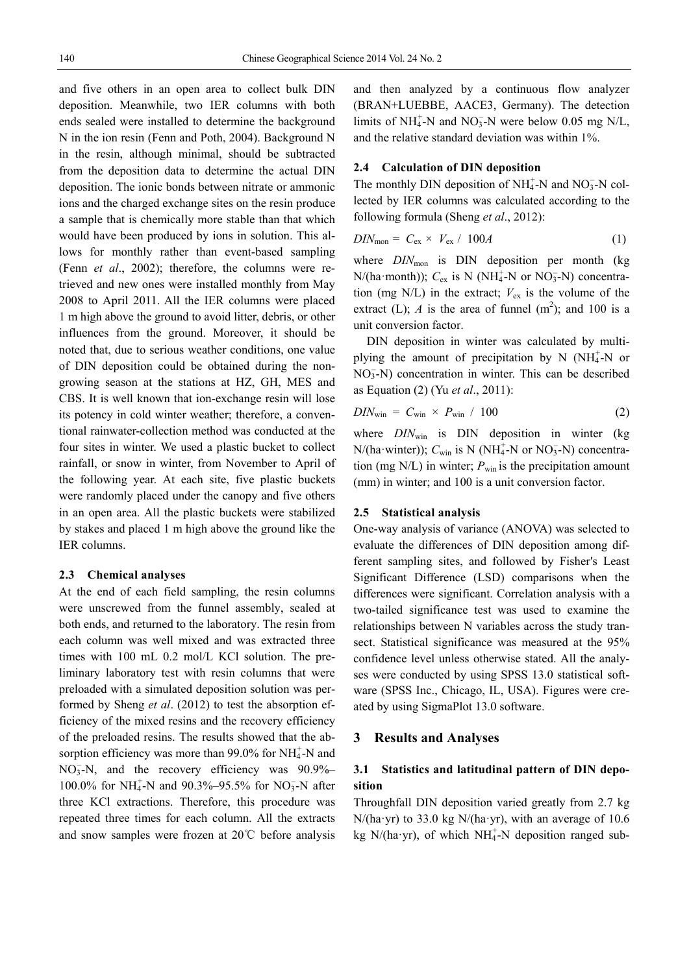and five others in an open area to collect bulk DIN deposition. Meanwhile, two IER columns with both ends sealed were installed to determine the background N in the ion resin (Fenn and Poth, 2004). Background N in the resin, although minimal, should be subtracted from the deposition data to determine the actual DIN deposition. The ionic bonds between nitrate or ammonic ions and the charged exchange sites on the resin produce a sample that is chemically more stable than that which would have been produced by ions in solution. This allows for monthly rather than event-based sampling (Fenn *et al*., 2002); therefore, the columns were retrieved and new ones were installed monthly from May 2008 to April 2011. All the IER columns were placed 1 m high above the ground to avoid litter, debris, or other influences from the ground. Moreover, it should be noted that, due to serious weather conditions, one value of DIN deposition could be obtained during the nongrowing season at the stations at HZ, GH, MES and CBS. It is well known that ion-exchange resin will lose its potency in cold winter weather; therefore, a conventional rainwater-collection method was conducted at the four sites in winter. We used a plastic bucket to collect rainfall, or snow in winter, from November to April of the following year. At each site, five plastic buckets were randomly placed under the canopy and five others in an open area. All the plastic buckets were stabilized by stakes and placed 1 m high above the ground like the IER columns.

### **2.3 Chemical analyses**

At the end of each field sampling, the resin columns were unscrewed from the funnel assembly, sealed at both ends, and returned to the laboratory. The resin from each column was well mixed and was extracted three times with 100 mL 0.2 mol/L KCl solution. The preliminary laboratory test with resin columns that were preloaded with a simulated deposition solution was performed by Sheng *et al*. (2012) to test the absorption efficiency of the mixed resins and the recovery efficiency of the preloaded resins. The results showed that the absorption efficiency was more than 99.0% for  $NH_4^+$ -N and NO<sub>3</sub>-N, and the recovery efficiency was 90.9%-100.0% for NH<sub>4</sub>-N and 90.3%-95.5% for NO<sub>3</sub>-N after three KCl extractions. Therefore, this procedure was repeated three times for each column. All the extracts and snow samples were frozen at 20℃ before analysis

and then analyzed by a continuous flow analyzer (BRAN+LUEBBE, AACE3, Germany). The detection limits of NH<sub>4</sub>-N and NO<sub>3</sub>-N were below 0.05 mg N/L, and the relative standard deviation was within 1%.

#### **2.4 Calculation of DIN deposition**

The monthly DIN deposition of  $NH_4^+$ -N and NO<sub>3</sub>-N collected by IER columns was calculated according to the following formula (Sheng *et al*., 2012):

$$
DIN_{\text{mon}} = C_{\text{ex}} \times V_{\text{ex}} / 100A \tag{1}
$$

where  $DIN_{\text{mon}}$  is  $DIN$  deposition per month (kg)  $N/(ha \cdot month)$ );  $C_{ex}$  is N (NH<sub>4</sub>-N or NO<sub>3</sub>-N) concentration (mg N/L) in the extract;  $V_{ex}$  is the volume of the extract (L); *A* is the area of funnel  $(m^2)$ ; and 100 is a unit conversion factor.

DIN deposition in winter was calculated by multiplying the amount of precipitation by N  $(NH_4^+$ -N or NO<sub>3</sub>-N) concentration in winter. This can be described as Equation (2) (Yu *et al*., 2011):

$$
DIN_{\text{win}} = C_{\text{win}} \times P_{\text{win}} / 100 \tag{2}
$$

where *DIN*<sub>win</sub> is DIN deposition in winter (kg  $N/(ha\cdot$ winter));  $C_{win}$  is N (NH<sub>4</sub>-N or NO<sub>3</sub>-N) concentration (mg  $N/L$ ) in winter;  $P_{win}$  is the precipitation amount (mm) in winter; and 100 is a unit conversion factor.

### **2.5 Statistical analysis**

One-way analysis of variance (ANOVA) was selected to evaluate the differences of DIN deposition among different sampling sites, and followed by Fisher′s Least Significant Difference (LSD) comparisons when the differences were significant. Correlation analysis with a two-tailed significance test was used to examine the relationships between N variables across the study transect. Statistical significance was measured at the 95% confidence level unless otherwise stated. All the analyses were conducted by using SPSS 13.0 statistical software (SPSS Inc., Chicago, IL, USA). Figures were created by using SigmaPlot 13.0 software.

### **3 Results and Analyses**

# **3.1 Statistics and latitudinal pattern of DIN deposition**

Throughfall DIN deposition varied greatly from 2.7 kg  $N/(ha \cdot yr)$  to 33.0 kg  $N/(ha \cdot yr)$ , with an average of 10.6 kg N/(ha·yr), of which NH $_4^+$ -N deposition ranged sub-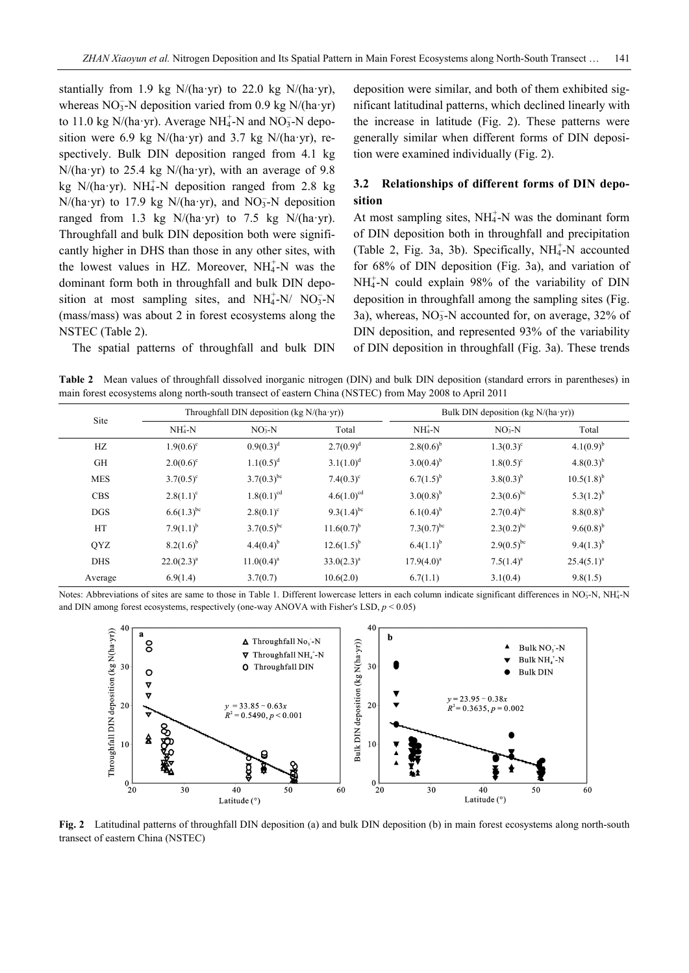stantially from 1.9 kg  $N/(ha \cdot yr)$  to 22.0 kg  $N/(ha \cdot yr)$ , whereas  $NO<sub>3</sub>$ -N deposition varied from 0.9 kg N/(ha·yr) to 11.0 kg N/(ha·yr). Average NH $_4^+$ -N and NO<sub>3</sub>-N deposition were 6.9 kg N/(ha·yr) and 3.7 kg N/(ha·yr), respectively. Bulk DIN deposition ranged from 4.1 kg  $N/(ha \cdot yr)$  to 25.4 kg  $N/(ha \cdot yr)$ , with an average of 9.8 kg N/(ha·yr). NH $_4^+$ -N deposition ranged from 2.8 kg  $N/(\text{ha} \cdot \text{yr})$  to 17.9 kg  $N/(\text{ha} \cdot \text{yr})$ , and  $NO_3^-$ -N deposition ranged from 1.3 kg  $N/(ha \cdot yr)$  to 7.5 kg  $N/(ha \cdot yr)$ . Throughfall and bulk DIN deposition both were significantly higher in DHS than those in any other sites, with the lowest values in HZ. Moreover,  $NH_4^+$ -N was the dominant form both in throughfall and bulk DIN deposition at most sampling sites, and  $NH_4^+$ -N/  $NO_3^-$ -N (mass/mass) was about 2 in forest ecosystems along the NSTEC (Table 2).

The spatial patterns of throughfall and bulk DIN

deposition were similar, and both of them exhibited significant latitudinal patterns, which declined linearly with the increase in latitude (Fig. 2). These patterns were generally similar when different forms of DIN deposition were examined individually (Fig. 2).

# **3.2 Relationships of different forms of DIN deposition**

At most sampling sites, NH<sub>4</sub>-N was the dominant form of DIN deposition both in throughfall and precipitation (Table 2, Fig. 3a, 3b). Specifically, NH<sub>4</sub>-N accounted for 68% of DIN deposition (Fig. 3a), and variation of NH<sup>+</sup>-N could explain 98% of the variability of DIN deposition in throughfall among the sampling sites (Fig. 3a), whereas,  $NO<sub>3</sub><sup>-</sup>N$  accounted for, on average, 32% of DIN deposition, and represented 93% of the variability of DIN deposition in throughfall (Fig. 3a). These trends

**Table 2** Mean values of throughfall dissolved inorganic nitrogen (DIN) and bulk DIN deposition (standard errors in parentheses) in main forest ecosystems along north-south transect of eastern China (NSTEC) from May 2008 to April 2011

| Site       | Throughfall DIN deposition (kg N/(ha·yr)) |                 |                    | Bulk DIN deposition (kg N/(ha·yr)) |                    |                 |
|------------|-------------------------------------------|-----------------|--------------------|------------------------------------|--------------------|-----------------|
|            | $NH4+ N$                                  | $NO3-N$         | Total              | $NH4+-N$                           | $NO3-N$            | Total           |
| HZ         | $1.9(0.6)^c$                              | $0.9(0.3)^d$    | $2.7(0.9)^d$       | $2.8(0.6)^{b}$                     | $1.3(0.3)^c$       | $4.1(0.9)^{b}$  |
| <b>GH</b>  | $2.0(0.6)^{\circ}$                        | $1.1(0.5)^d$    | $3.1(1.0)^d$       | $3.0(0.4)^{b}$                     | $1.8(0.5)^{\circ}$ | $4.8(0.3)^{b}$  |
| <b>MES</b> | $3.7(0.5)^c$                              | $3.7(0.3)^{bc}$ | $7.4(0.3)^{\circ}$ | $6.7(1.5)^{b}$                     | $3.8(0.3)^{b}$     | $10.5(1.8)^{b}$ |
| <b>CBS</b> | $2.8(1.1)^c$                              | $1.8(0.1)^{cd}$ | $4.6(1.0)^{cd}$    | $3.0(0.8)^{b}$                     | $2.3(0.6)^{bc}$    | $5.3(1.2)^{b}$  |
| <b>DGS</b> | $6.6(1.3)^{bc}$                           | $2.8(0.1)^c$    | $9.3(1.4)^{bc}$    | $6.1(0.4)^{b}$                     | $2.7(0.4)^{bc}$    | $8.8(0.8)^{b}$  |
| <b>HT</b>  | $7.9(1.1)^{b}$                            | $3.7(0.5)^{bc}$ | $11.6(0.7)^{b}$    | 7.3 $(0.7)^{bc}$                   | $2.3(0.2)^{bc}$    | $9.6(0.8)^{b}$  |
| <b>QYZ</b> | $8.2(1.6)^{b}$                            | $4.4(0.4)^{b}$  | $12.6(1.5)^{b}$    | $6.4(1.1)^{b}$                     | $2.9(0.5)^{bc}$    | $9.4(1.3)^{b}$  |
| <b>DHS</b> | $22.0(2.3)^a$                             | $11.0(0.4)^a$   | $33.0(2.3)^a$      | $17.9(4.0)^a$                      | $7.5(1.4)^a$       | $25.4(5.1)^a$   |
| Average    | 6.9(1.4)                                  | 3.7(0.7)        | 10.6(2.0)          | 6.7(1.1)                           | 3.1(0.4)           | 9.8(1.5)        |

Notes: Abbreviations of sites are same to those in Table 1. Different lowercase letters in each column indicate significant differences in NO<sub>3</sub>-N, NH<sub>4</sub>-N and DIN among forest ecosystems, respectively (one-way ANOVA with Fisher's LSD,  $p \le 0.05$ )



**Fig. 2** Latitudinal patterns of throughfall DIN deposition (a) and bulk DIN deposition (b) in main forest ecosystems along north-south transect of eastern China (NSTEC)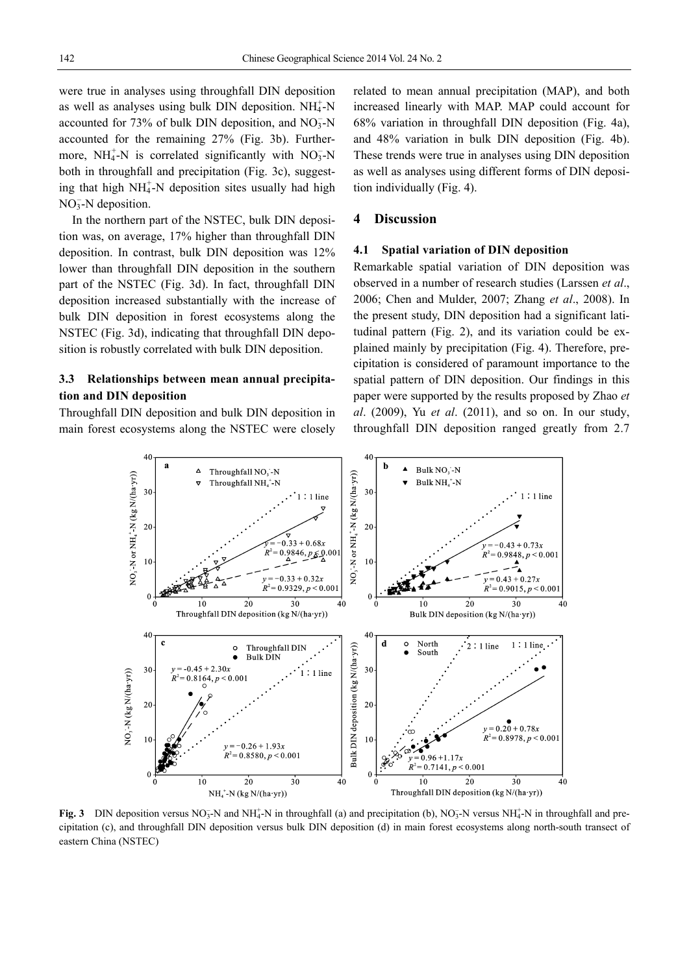were true in analyses using throughfall DIN deposition as well as analyses using bulk DIN deposition.  $NH_4^+$ -N accounted for 73% of bulk DIN deposition, and  $NO<sub>3</sub><sup>-</sup>N$ accounted for the remaining 27% (Fig. 3b). Furthermore,  $NH_4^+$ -N is correlated significantly with  $NO_3^-$ -N both in throughfall and precipitation (Fig. 3c), suggesting that high NH<sub>4</sub>-N deposition sites usually had high  $NO<sub>3</sub><sup>-</sup>N$  deposition.

In the northern part of the NSTEC, bulk DIN deposition was, on average, 17% higher than throughfall DIN deposition. In contrast, bulk DIN deposition was 12% lower than throughfall DIN deposition in the southern part of the NSTEC (Fig. 3d). In fact, throughfall DIN deposition increased substantially with the increase of bulk DIN deposition in forest ecosystems along the NSTEC (Fig. 3d), indicating that throughfall DIN deposition is robustly correlated with bulk DIN deposition.

# **3.3 Relationships between mean annual precipitation and DIN deposition**

Throughfall DIN deposition and bulk DIN deposition in main forest ecosystems along the NSTEC were closely related to mean annual precipitation (MAP), and both increased linearly with MAP. MAP could account for 68% variation in throughfall DIN deposition (Fig. 4a), and 48% variation in bulk DIN deposition (Fig. 4b). These trends were true in analyses using DIN deposition as well as analyses using different forms of DIN deposition individually (Fig. 4).

### **4 Discussion**

### **4.1 Spatial variation of DIN deposition**

Remarkable spatial variation of DIN deposition was observed in a number of research studies (Larssen *et al*., 2006; Chen and Mulder, 2007; Zhang *et al*., 2008). In the present study, DIN deposition had a significant latitudinal pattern (Fig. 2), and its variation could be explained mainly by precipitation (Fig. 4). Therefore, precipitation is considered of paramount importance to the spatial pattern of DIN deposition. Our findings in this paper were supported by the results proposed by Zhao *et al*. (2009), Yu *et al*. (2011), and so on. In our study, throughfall DIN deposition ranged greatly from 2.7



**Fig. 3** DIN deposition versus NO<sub>3</sub>-N and NH<sub>4</sub>-N in throughfall (a) and precipitation (b), NO<sub>3</sub>-N versus NH<sub>4</sub>-N in throughfall and precipitation (c), and throughfall DIN deposition versus bulk DIN deposition (d) in main forest ecosystems along north-south transect of eastern China (NSTEC)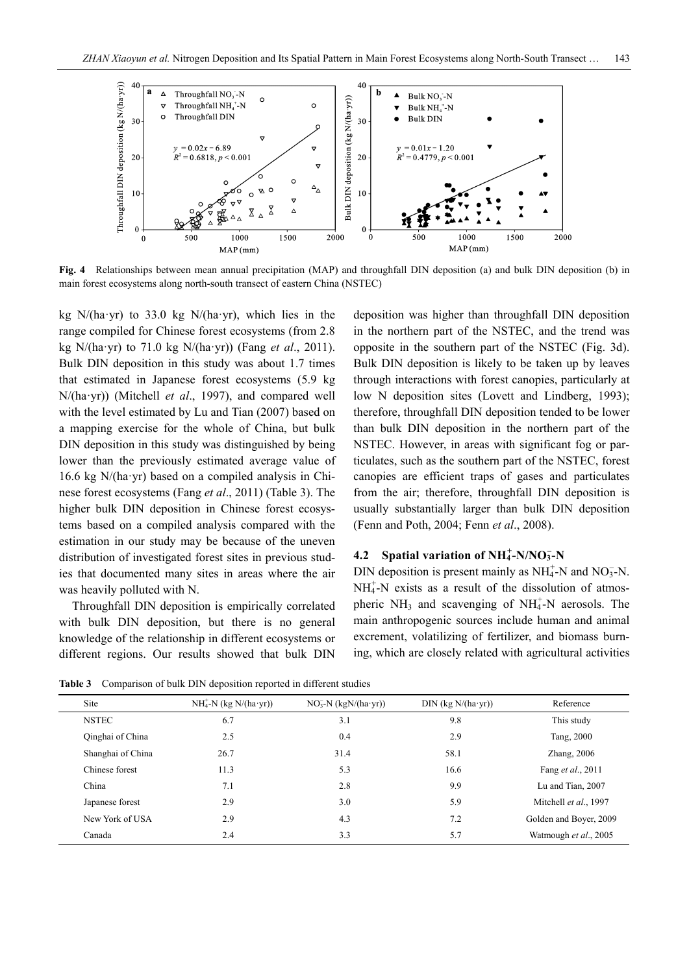

**Fig. 4** Relationships between mean annual precipitation (MAP) and throughfall DIN deposition (a) and bulk DIN deposition (b) in main forest ecosystems along north-south transect of eastern China (NSTEC)

kg  $N/(ha \cdot yr)$  to 33.0 kg  $N/(ha \cdot yr)$ , which lies in the range compiled for Chinese forest ecosystems (from 2.8 kg N/(ha·yr) to 71.0 kg N/(ha·yr)) (Fang *et al*., 2011). Bulk DIN deposition in this study was about 1.7 times that estimated in Japanese forest ecosystems (5.9 kg N/(ha·yr)) (Mitchell *et al*., 1997), and compared well with the level estimated by Lu and Tian (2007) based on a mapping exercise for the whole of China, but bulk DIN deposition in this study was distinguished by being lower than the previously estimated average value of 16.6 kg N/(ha·yr) based on a compiled analysis in Chinese forest ecosystems (Fang *et al*., 2011) (Table 3). The higher bulk DIN deposition in Chinese forest ecosystems based on a compiled analysis compared with the estimation in our study may be because of the uneven distribution of investigated forest sites in previous studies that documented many sites in areas where the air was heavily polluted with N.

Throughfall DIN deposition is empirically correlated with bulk DIN deposition, but there is no general knowledge of the relationship in different ecosystems or different regions. Our results showed that bulk DIN deposition was higher than throughfall DIN deposition in the northern part of the NSTEC, and the trend was opposite in the southern part of the NSTEC (Fig. 3d). Bulk DIN deposition is likely to be taken up by leaves through interactions with forest canopies, particularly at low N deposition sites (Lovett and Lindberg, 1993); therefore, throughfall DIN deposition tended to be lower than bulk DIN deposition in the northern part of the NSTEC. However, in areas with significant fog or particulates, such as the southern part of the NSTEC, forest canopies are efficient traps of gases and particulates from the air; therefore, throughfall DIN deposition is usually substantially larger than bulk DIN deposition (Fenn and Poth, 2004; Fenn *et al*., 2008).

# **4.2** Spatial variation of  $NH_4^+$ -N/NO<sub>3</sub>-N

DIN deposition is present mainly as  $NH_4^+$ -N and NO<sub>3</sub>-N.  $NH_4^+$ -N exists as a result of the dissolution of atmospheric  $NH_3$  and scavenging of NH<sub>4</sub>-N aerosols. The main anthropogenic sources include human and animal excrement, volatilizing of fertilizer, and biomass burning, which are closely related with agricultural activities

**Table 3** Comparison of bulk DIN deposition reported in different studies

| Site              | $NH_4^+$ -N (kg N/(ha·yr)) | $NO3-N$ (kgN/(ha·yr)) | $DIN$ (kg $N/(ha \cdot yr)$ ) | Reference                 |
|-------------------|----------------------------|-----------------------|-------------------------------|---------------------------|
| <b>NSTEC</b>      | 6.7                        | 3.1                   | 9.8                           | This study                |
| Qinghai of China  | 2.5                        | 0.4                   | 2.9                           | Tang, 2000                |
| Shanghai of China | 26.7                       | 31.4                  | 58.1                          | Zhang, $2006$             |
| Chinese forest    | 11.3                       | 5.3                   | 16.6                          | Fang <i>et al.</i> , 2011 |
| China             | 7.1                        | 2.8                   | 9.9                           | Lu and Tian, 2007         |
| Japanese forest   | 2.9                        | 3.0                   | 5.9                           | Mitchell et al., 1997     |
| New York of USA   | 2.9                        | 4.3                   | 7.2                           | Golden and Boyer, 2009    |
| Canada            | 2.4                        | 3.3                   | 5.7                           | Watmough et al., 2005     |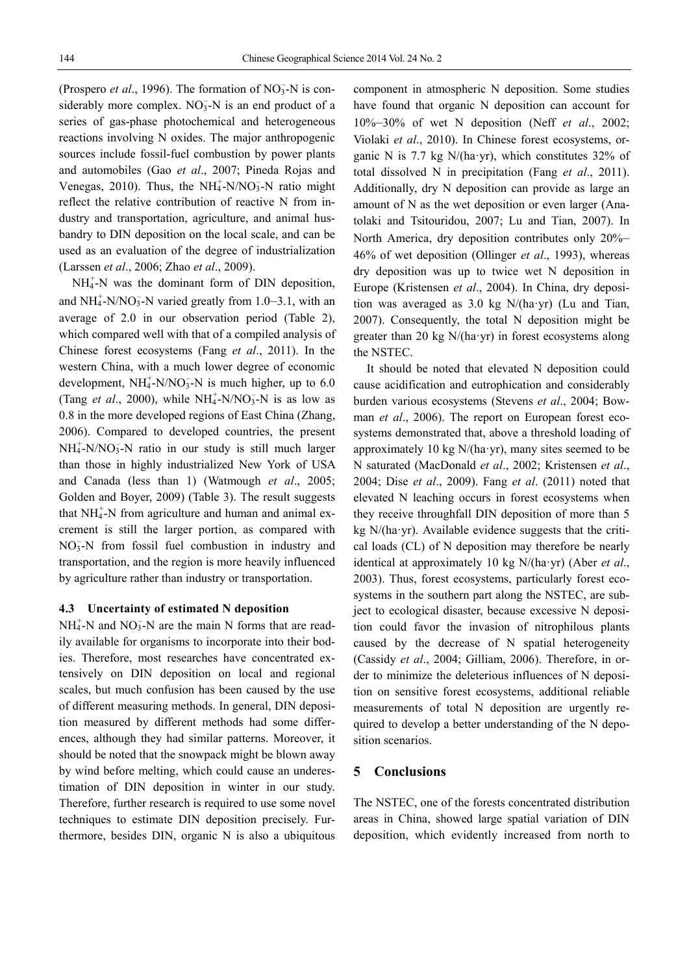(Prospero *et al.*, 1996). The formation of  $NO<sub>3</sub><sup>-</sup>N$  is considerably more complex.  $NO<sub>3</sub><sup>-</sup>N$  is an end product of a series of gas-phase photochemical and heterogeneous reactions involving N oxides. The major anthropogenic sources include fossil-fuel combustion by power plants and automobiles (Gao *et al*., 2007; Pineda Rojas and Venegas, 2010). Thus, the  $NH_4^+$ -N/NO<sub>3</sub>-N ratio might reflect the relative contribution of reactive N from industry and transportation, agriculture, and animal husbandry to DIN deposition on the local scale, and can be used as an evaluation of the degree of industrialization (Larssen *et al*., 2006; Zhao *et al*., 2009).

 $NH_4^+$ -N was the dominant form of DIN deposition, and  $NH_4^+$ -N/NO<sub>3</sub>-N varied greatly from 1.0–3.1, with an average of 2.0 in our observation period (Table 2), which compared well with that of a compiled analysis of Chinese forest ecosystems (Fang *et al*., 2011). In the western China, with a much lower degree of economic development,  $NH_4^+$ -N/NO<sub>3</sub>-N is much higher, up to 6.0 (Tang *et al.*, 2000), while  $NH_4^+$ -N/NO<sub>3</sub>-N is as low as 0.8 in the more developed regions of East China (Zhang, 2006). Compared to developed countries, the present  $NH_4^+$ -N/NO<sub>3</sub>-N ratio in our study is still much larger than those in highly industrialized New York of USA and Canada (less than 1) (Watmough *et al*., 2005; Golden and Boyer, 2009) (Table 3). The result suggests that  $NH<sub>4</sub><sup>+</sup>-N$  from agriculture and human and animal excrement is still the larger portion, as compared with NO<sub>3</sub>-N from fossil fuel combustion in industry and transportation, and the region is more heavily influenced by agriculture rather than industry or transportation.

#### **4.3 Uncertainty of estimated N deposition**

 $NH_4^+$ -N and  $NO_3^-$ -N are the main N forms that are readily available for organisms to incorporate into their bodies. Therefore, most researches have concentrated extensively on DIN deposition on local and regional scales, but much confusion has been caused by the use of different measuring methods. In general, DIN deposition measured by different methods had some differences, although they had similar patterns. Moreover, it should be noted that the snowpack might be blown away by wind before melting, which could cause an underestimation of DIN deposition in winter in our study. Therefore, further research is required to use some novel techniques to estimate DIN deposition precisely. Furthermore, besides DIN, organic N is also a ubiquitous

component in atmospheric N deposition. Some studies have found that organic N deposition can account for 10%–30% of wet N deposition (Neff *et al*., 2002; Violaki *et al*., 2010). In Chinese forest ecosystems, organic N is 7.7 kg  $N/ha \cdot yr$ ), which constitutes 32% of total dissolved N in precipitation (Fang *et al*., 2011). Additionally, dry N deposition can provide as large an amount of N as the wet deposition or even larger (Anatolaki and Tsitouridou, 2007; Lu and Tian, 2007). In North America, dry deposition contributes only 20%– 46% of wet deposition (Ollinger *et al*., 1993), whereas dry deposition was up to twice wet N deposition in Europe (Kristensen *et al*., 2004). In China, dry deposition was averaged as 3.0 kg N/(ha·yr) (Lu and Tian, 2007). Consequently, the total N deposition might be greater than 20 kg N/(ha·yr) in forest ecosystems along the NSTEC.

It should be noted that elevated N deposition could cause acidification and eutrophication and considerably burden various ecosystems (Stevens *et al*., 2004; Bowman *et al*., 2006). The report on European forest ecosystems demonstrated that, above a threshold loading of approximately 10 kg  $N/(\text{ha} \cdot \text{yr})$ , many sites seemed to be N saturated (MacDonald *et al*., 2002; Kristensen *et al*., 2004; Dise *et al*., 2009). Fang *et al*. (2011) noted that elevated N leaching occurs in forest ecosystems when they receive throughfall DIN deposition of more than 5 kg  $N/(ha \cdot yr)$ . Available evidence suggests that the critical loads (CL) of N deposition may therefore be nearly identical at approximately 10 kg N/(ha·yr) (Aber *et al*., 2003). Thus, forest ecosystems, particularly forest ecosystems in the southern part along the NSTEC, are subject to ecological disaster, because excessive N deposition could favor the invasion of nitrophilous plants caused by the decrease of N spatial heterogeneity (Cassidy *et al*., 2004; Gilliam, 2006). Therefore, in order to minimize the deleterious influences of N deposition on sensitive forest ecosystems, additional reliable measurements of total N deposition are urgently required to develop a better understanding of the N deposition scenarios.

### **5 Conclusions**

The NSTEC, one of the forests concentrated distribution areas in China, showed large spatial variation of DIN deposition, which evidently increased from north to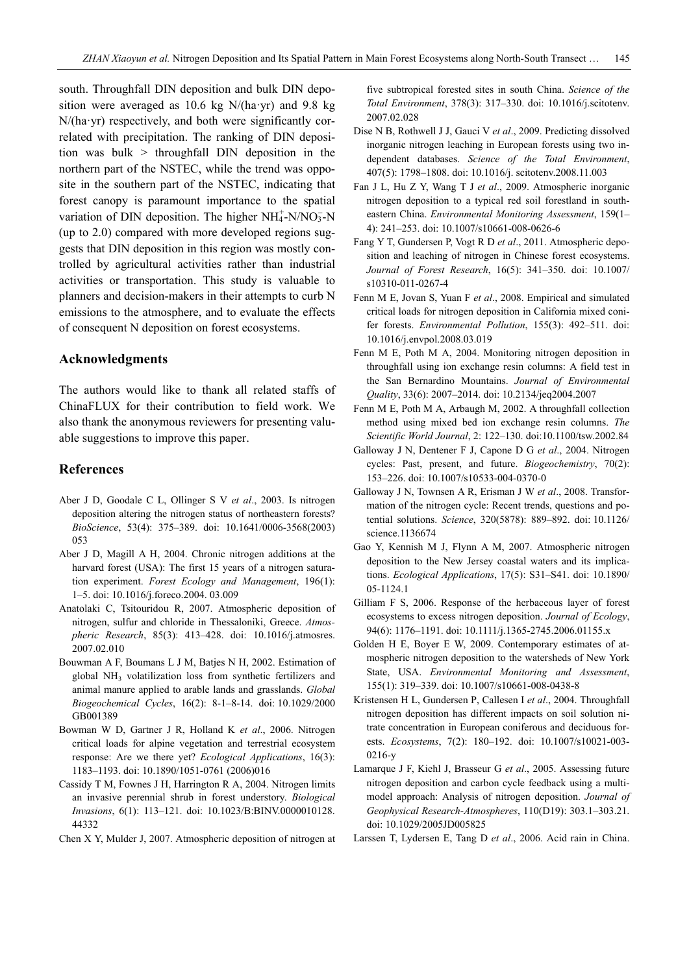south. Throughfall DIN deposition and bulk DIN deposition were averaged as 10.6 kg N/(ha·yr) and 9.8 kg N/(ha·yr) respectively, and both were significantly correlated with precipitation. The ranking of DIN deposition was bulk > throughfall DIN deposition in the northern part of the NSTEC, while the trend was opposite in the southern part of the NSTEC, indicating that forest canopy is paramount importance to the spatial variation of DIN deposition. The higher  $NH_4^+$ -N/NO<sub>3</sub>-N (up to 2.0) compared with more developed regions suggests that DIN deposition in this region was mostly controlled by agricultural activities rather than industrial activities or transportation. This study is valuable to planners and decision-makers in their attempts to curb N emissions to the atmosphere, and to evaluate the effects of consequent N deposition on forest ecosystems.

### **Acknowledgments**

The authors would like to thank all related staffs of ChinaFLUX for their contribution to field work. We also thank the anonymous reviewers for presenting valuable suggestions to improve this paper.

#### **References**

- Aber J D, Goodale C L, Ollinger S V *et al*., 2003. Is nitrogen deposition altering the nitrogen status of northeastern forests? *BioScience*, 53(4): 375–389. doi: 10.1641/0006-3568(2003) 053
- Aber J D, Magill A H, 2004. Chronic nitrogen additions at the harvard forest (USA): The first 15 years of a nitrogen saturation experiment. *Forest Ecology and Management*, 196(1): 1–5. doi: 10.1016/j.foreco.2004. 03.009
- Anatolaki C, Tsitouridou R, 2007. Atmospheric deposition of nitrogen, sulfur and chloride in Thessaloniki, Greece. *Atmospheric Research*, 85(3): 413–428. doi: 10.1016/j.atmosres. 2007.02.010
- Bouwman A F, Boumans L J M, Batjes N H, 2002. Estimation of global NH3 volatilization loss from synthetic fertilizers and animal manure applied to arable lands and grasslands. *Global Biogeochemical Cycles*, 16(2): 8-1–8-14. doi: 10.1029/2000 GB001389
- Bowman W D, Gartner J R, Holland K *et al*., 2006. Nitrogen critical loads for alpine vegetation and terrestrial ecosystem response: Are we there yet? *Ecological Applications*, 16(3): 1183–1193. doi: 10.1890/1051-0761 (2006)016
- Cassidy T M, Fownes J H, Harrington R A, 2004. Nitrogen limits an invasive perennial shrub in forest understory. *Biological Invasions*, 6(1): 113–121. doi: 10.1023/B:BINV.0000010128. 44332
- Chen X Y, Mulder J, 2007. Atmospheric deposition of nitrogen at

five subtropical forested sites in south China. *Science of the Total Environment*, 378(3): 317–330. doi: 10.1016/j.scitotenv. 2007.02.028

- Dise N B, Rothwell J J, Gauci V *et al*., 2009. Predicting dissolved inorganic nitrogen leaching in European forests using two independent databases. *Science of the Total Environment*, 407(5): 1798–1808. doi: 10.1016/j. scitotenv.2008.11.003
- Fan J L, Hu Z Y, Wang T J *et al*., 2009. Atmospheric inorganic nitrogen deposition to a typical red soil forestland in southeastern China. *Environmental Monitoring Assessment*, 159(1– 4): 241–253. doi: 10.1007/s10661-008-0626-6
- Fang Y T, Gundersen P, Vogt R D *et al*., 2011. Atmospheric deposition and leaching of nitrogen in Chinese forest ecosystems. *Journal of Forest Research*, 16(5): 341–350. doi: 10.1007/ s10310-011-0267-4
- Fenn M E, Jovan S, Yuan F *et al*., 2008. Empirical and simulated critical loads for nitrogen deposition in California mixed conifer forests. *Environmental Pollution*, 155(3): 492–511. doi: 10.1016/j.envpol.2008.03.019
- Fenn M E, Poth M A, 2004. Monitoring nitrogen deposition in throughfall using ion exchange resin columns: A field test in the San Bernardino Mountains. *Journal of Environmental Quality*, 33(6): 2007–2014. doi: 10.2134/jeq2004.2007
- Fenn M E, Poth M A, Arbaugh M, 2002. A throughfall collection method using mixed bed ion exchange resin columns. *The Scientific World Journal*, 2: 122–130. doi:10.1100/tsw.2002.84
- Galloway J N, Dentener F J, Capone D G *et al*., 2004. Nitrogen cycles: Past, present, and future. *Biogeochemistry*, 70(2): 153–226. doi: 10.1007/s10533-004-0370-0
- Galloway J N, Townsen A R, Erisman J W *et al*., 2008. Transformation of the nitrogen cycle: Recent trends, questions and potential solutions. *Science*, 320(5878): 889–892. doi: 10.1126/ science.1136674
- Gao Y, Kennish M J, Flynn A M, 2007. Atmospheric nitrogen deposition to the New Jersey coastal waters and its implications. *Ecological Applications*, 17(5): S31–S41. doi: 10.1890/ 05-1124.1
- Gilliam F S, 2006. Response of the herbaceous layer of forest ecosystems to excess nitrogen deposition. *Journal of Ecology*, 94(6): 1176–1191. doi: 10.1111/j.1365-2745.2006.01155.x
- Golden H E, Boyer E W, 2009. Contemporary estimates of atmospheric nitrogen deposition to the watersheds of New York State, USA. *Environmental Monitoring and Assessment*, 155(1): 319–339. doi: 10.1007/s10661-008-0438-8
- Kristensen H L, Gundersen P, Callesen I *et al*., 2004. Throughfall nitrogen deposition has different impacts on soil solution nitrate concentration in European coniferous and deciduous forests. *Ecosystems*, 7(2): 180–192. doi: 10.1007/s10021-003- 0216-y
- Lamarque J F, Kiehl J, Brasseur G *et al*., 2005. Assessing future nitrogen deposition and carbon cycle feedback using a multimodel approach: Analysis of nitrogen deposition. *Journal of Geophysical Research-Atmospheres*, 110(D19): 303.1–303.21. doi: 10.1029/2005JD005825
- Larssen T, Lydersen E, Tang D *et al*., 2006. Acid rain in China.